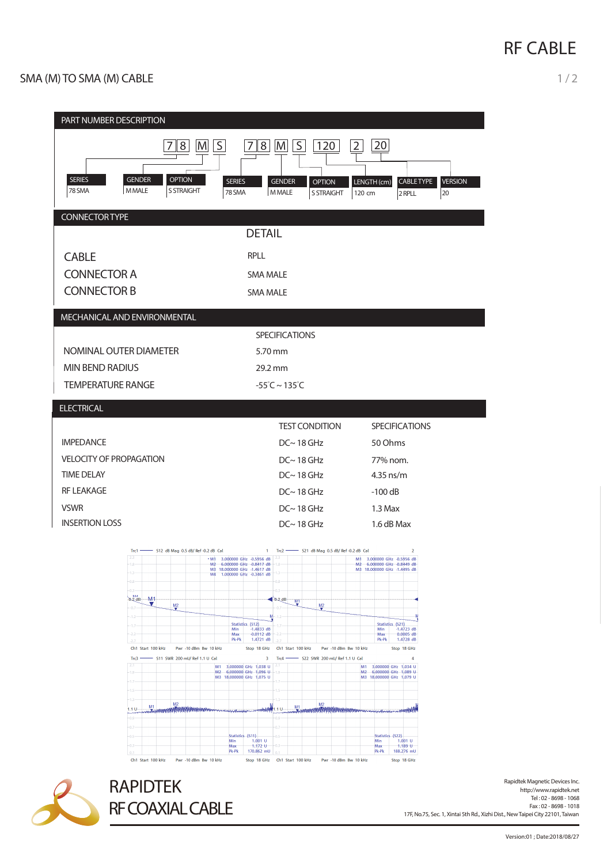## **RF CABLE**

| × | . . |
|---|-----|
|   |     |

| PART NUMBER DESCRIPTION<br>$\mathsf{S}$<br>8 <sup>1</sup><br>S<br>20<br>8<br>M<br> M <br>120<br>$\overline{2}$<br>7<br><b>SERIES</b><br><b>GENDER</b><br><b>OPTION</b><br><b>SERIES</b><br><b>GENDER</b><br><b>OPTION</b><br>LENGTH (cm)<br>CABLE TYPE<br><b>MMALE</b><br>78 SMA<br><b>S STRAIGHT</b><br>78 SMA<br><b>MMALE</b><br><b>S STRAIGHT</b><br>120 cm<br>20<br>2 RPLL<br><b>CONNECTOR TYPE</b>       | <b>VERSION</b> |  |  |  |
|---------------------------------------------------------------------------------------------------------------------------------------------------------------------------------------------------------------------------------------------------------------------------------------------------------------------------------------------------------------------------------------------------------------|----------------|--|--|--|
| <b>DETAIL</b>                                                                                                                                                                                                                                                                                                                                                                                                 |                |  |  |  |
| <b>CABLE</b><br><b>RPLL</b>                                                                                                                                                                                                                                                                                                                                                                                   |                |  |  |  |
| <b>CONNECTOR A</b><br><b>SMA MALE</b>                                                                                                                                                                                                                                                                                                                                                                         |                |  |  |  |
| <b>CONNECTOR B</b><br><b>SMA MALE</b>                                                                                                                                                                                                                                                                                                                                                                         |                |  |  |  |
| MECHANICAL AND ENVIRONMENTAL                                                                                                                                                                                                                                                                                                                                                                                  |                |  |  |  |
| <b>SPECIFICATIONS</b>                                                                                                                                                                                                                                                                                                                                                                                         |                |  |  |  |
| NOMINAL OUTER DIAMETER<br>5.70 mm                                                                                                                                                                                                                                                                                                                                                                             |                |  |  |  |
| <b>MIN BEND RADIUS</b><br>29.2 mm                                                                                                                                                                                                                                                                                                                                                                             |                |  |  |  |
| <b>TEMPERATURE RANGE</b><br>$-55^{\circ}$ C ~ 135 $^{\circ}$ C                                                                                                                                                                                                                                                                                                                                                |                |  |  |  |
| <b>ELECTRICAL</b>                                                                                                                                                                                                                                                                                                                                                                                             |                |  |  |  |
| <b>TEST CONDITION</b><br><b>SPECIFICATIONS</b>                                                                                                                                                                                                                                                                                                                                                                |                |  |  |  |
| <b>IMPEDANCE</b><br>$DC~ 18$ GHz<br>50 Ohms                                                                                                                                                                                                                                                                                                                                                                   |                |  |  |  |
| <b>VELOCITY OF PROPAGATION</b><br>$DC~ 18$ GHz<br>77% nom.                                                                                                                                                                                                                                                                                                                                                    |                |  |  |  |
| <b>TIME DELAY</b><br>$DC~ 18$ GHz<br>$4.35$ ns/m<br><b>RF LEAKAGE</b>                                                                                                                                                                                                                                                                                                                                         |                |  |  |  |
| $DC~ 18$ GHz<br>$-100$ dB<br><b>VSWR</b><br>$DC~ 18$ GHz<br>$1.3$ Max                                                                                                                                                                                                                                                                                                                                         |                |  |  |  |
| <b>INSERTION LOSS</b><br>$DC~ 18$ GHz<br>1.6 dB Max                                                                                                                                                                                                                                                                                                                                                           |                |  |  |  |
| $Trc1 -$<br>- S12 dB Mag 0.5 dB/Ref -0.2 dB Cal<br>Trc2 - \$21 dB Mag 0.5 dB/ Ref -0.2 dB Cal<br>$\overline{2}$<br>$\mathbf{1}$<br>2.3<br>2.3<br>+ M1 3.000000 GHz -0.5956 dB<br>M1 3.000000 GHz -0.5956 dB<br>M <sub>2</sub> 6.000000 GHz -0.8417 dB<br>M <sub>2</sub> 6.000000 GHz -0.8449 dB<br>M3 18.000000 GHz -1.4617 dB<br>M3 18.000000 GHz -1.4495 dB<br>13<br>M4 1.000000 GHz -0.3461 dB<br>$-0.8 -$ |                |  |  |  |
| $-0.3 -$<br>-M1<br>$0.2$ dB<br>$-0.2$ dB<br>MT<br>J.<br>M2<br>x<br>M2                                                                                                                                                                                                                                                                                                                                         |                |  |  |  |
| $-0.7 -$<br>07<br>y<br>м<br>$-1.2-$<br>$-1.2 -$<br>э<br>Statistics (S12)<br>Statistics (S21)                                                                                                                                                                                                                                                                                                                  |                |  |  |  |
| $-1.7-$<br>-1.7<br>$-1.4833$ dB<br>$-1.4723$ dB<br>Min<br>Min<br>Max<br>$-0.0112$ dB<br>Max<br>$0.0005$ dB<br>$-2.2$<br>$-2.2$<br>Pk-Pk<br>1.4721 dB<br>Pk-Pk<br>1.4728 dB<br>$-2.7$<br>$-2.7$                                                                                                                                                                                                                |                |  |  |  |
| Ch1 Start 100 kHz<br>Pwr -10 dBm Bw 10 kHz<br>Stop 18 GHz Ch1 Start 100 kHz<br>Pwr -10 dBm Bw 10 kHz<br>Stop 18 GHz<br>Trc3 - S11 SWR 200 mU/Ref 1.1 U Cal<br>3 Trc4 - \$22 SWR 200 mU/ Ref 1.1 U Cal<br>4                                                                                                                                                                                                    |                |  |  |  |
| M1 3,000000 GHz 1,038 U<br>3,000000 GHz 1.034 U<br>M1                                                                                                                                                                                                                                                                                                                                                         |                |  |  |  |
| M2 6,000000 GHz 1,096 U<br>M2 6,000000 GHz 1,089 U<br>$-1.9 -$<br>19<br>M3 18,000000 GHz 1,075 U<br>M3 18,000000 GHz 1,079 U                                                                                                                                                                                                                                                                                  |                |  |  |  |
| $-1.7-$<br>$-1.5 -$                                                                                                                                                                                                                                                                                                                                                                                           |                |  |  |  |
| $-1.3 -$<br>M <sub>2</sub><br>M2<br>M1<br>M1<br>1.1 U<br>$1.1 U -$<br><b>MATATAIAN</b><br><b><i>TATAN SI DI BUAN BUAN ALAH KANADA PRODUCE</i></b><br><b>Wintennismuseum</b><br><b>Concrete Avenue</b><br><b>Monday</b><br><b>MAN</b><br>بالدمه                                                                                                                                                                |                |  |  |  |
| $-0.9 -$<br>$-0.9$<br>$-0.7$<br>Statistics (S11)<br>Statistics (S22)<br>$-0.5$                                                                                                                                                                                                                                                                                                                                |                |  |  |  |



Rapidtek Magnetic Devices Inc.<br>http://www.rapidtek.net Tel : 02 - 8698 - 1068 Fax : 02 - 8698 - 1018 17F, No.75, Sec. 1, Xintai 5th Rd., Xizhi Dist., NewTaipei City 22101,Taiwan